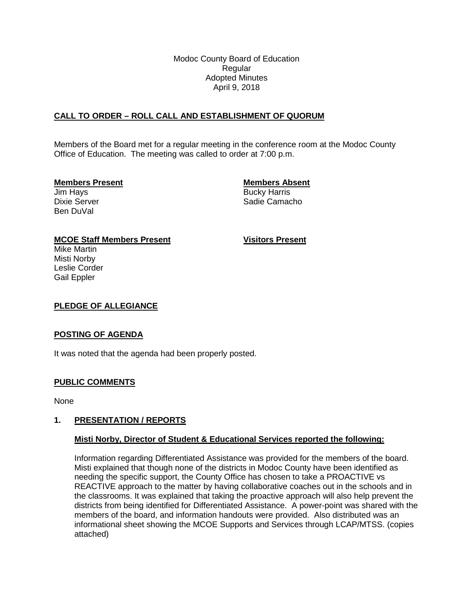Modoc County Board of Education Regular Adopted Minutes April 9, 2018

# **CALL TO ORDER – ROLL CALL AND ESTABLISHMENT OF QUORUM**

Members of the Board met for a regular meeting in the conference room at the Modoc County Office of Education. The meeting was called to order at 7:00 p.m.

### **Members Present Members Absent**

Ben DuVal

Jim Hays **Bucky Harris** Bucky Harris Dixie Server **Sadie Camacho** Sadie Camacho

## **MCOE Staff Members Present Visitors Present**

Mike Martin Misti Norby Leslie Corder Gail Eppler

## **PLEDGE OF ALLEGIANCE**

### **POSTING OF AGENDA**

It was noted that the agenda had been properly posted.

## **PUBLIC COMMENTS**

None

### **1. PRESENTATION / REPORTS**

### **Misti Norby, Director of Student & Educational Services reported the following:**

Information regarding Differentiated Assistance was provided for the members of the board. Misti explained that though none of the districts in Modoc County have been identified as needing the specific support, the County Office has chosen to take a PROACTIVE vs REACTIVE approach to the matter by having collaborative coaches out in the schools and in the classrooms. It was explained that taking the proactive approach will also help prevent the districts from being identified for Differentiated Assistance. A power-point was shared with the members of the board, and information handouts were provided. Also distributed was an informational sheet showing the MCOE Supports and Services through LCAP/MTSS. (copies attached)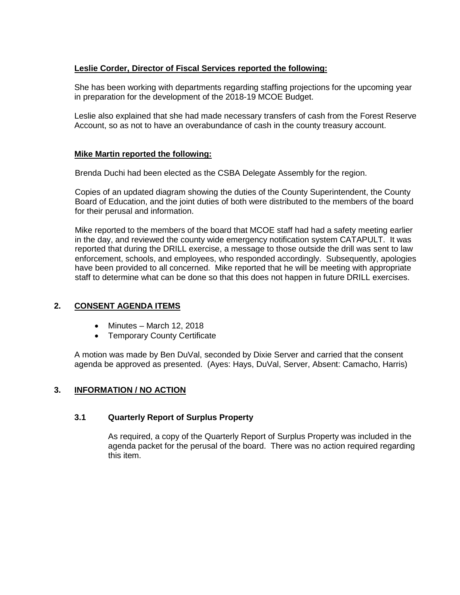# **Leslie Corder, Director of Fiscal Services reported the following:**

She has been working with departments regarding staffing projections for the upcoming year in preparation for the development of the 2018-19 MCOE Budget.

Leslie also explained that she had made necessary transfers of cash from the Forest Reserve Account, so as not to have an overabundance of cash in the county treasury account.

# **Mike Martin reported the following:**

Brenda Duchi had been elected as the CSBA Delegate Assembly for the region.

Copies of an updated diagram showing the duties of the County Superintendent, the County Board of Education, and the joint duties of both were distributed to the members of the board for their perusal and information.

Mike reported to the members of the board that MCOE staff had had a safety meeting earlier in the day, and reviewed the county wide emergency notification system CATAPULT. It was reported that during the DRILL exercise, a message to those outside the drill was sent to law enforcement, schools, and employees, who responded accordingly. Subsequently, apologies have been provided to all concerned. Mike reported that he will be meeting with appropriate staff to determine what can be done so that this does not happen in future DRILL exercises.

# **2. CONSENT AGENDA ITEMS**

- Minutes March 12, 2018
- Temporary County Certificate

A motion was made by Ben DuVal, seconded by Dixie Server and carried that the consent agenda be approved as presented. (Ayes: Hays, DuVal, Server, Absent: Camacho, Harris)

# **3. INFORMATION / NO ACTION**

## **3.1 Quarterly Report of Surplus Property**

As required, a copy of the Quarterly Report of Surplus Property was included in the agenda packet for the perusal of the board. There was no action required regarding this item.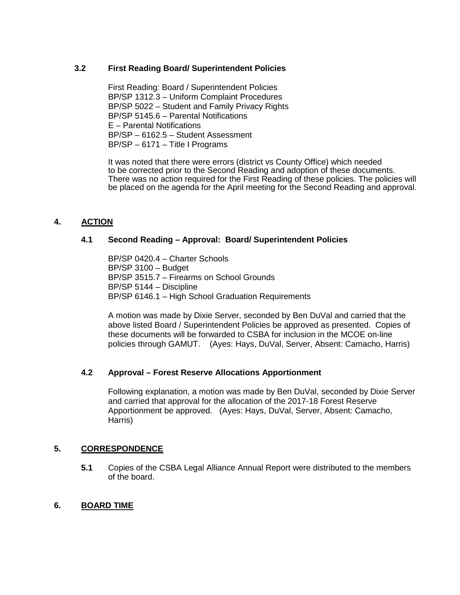# **3.2 First Reading Board/ Superintendent Policies**

First Reading: Board / Superintendent Policies BP/SP 1312.3 – Uniform Complaint Procedures BP/SP 5022 – Student and Family Privacy Rights BP/SP 5145.6 – Parental Notifications E – Parental Notifications BP/SP – 6162.5 – Student Assessment BP/SP – 6171 – Title I Programs

It was noted that there were errors (district vs County Office) which needed to be corrected prior to the Second Reading and adoption of these documents. There was no action required for the First Reading of these policies. The policies will be placed on the agenda for the April meeting for the Second Reading and approval.

# **4. ACTION**

## **4.1 Second Reading – Approval: Board/ Superintendent Policies**

BP/SP 0420.4 – Charter Schools BP/SP 3100 – Budget BP/SP 3515.7 – Firearms on School Grounds BP/SP 5144 – Discipline BP/SP 6146.1 – High School Graduation Requirements

A motion was made by Dixie Server, seconded by Ben DuVal and carried that the above listed Board / Superintendent Policies be approved as presented. Copies of these documents will be forwarded to CSBA for inclusion in the MCOE on-line policies through GAMUT. (Ayes: Hays, DuVal, Server, Absent: Camacho, Harris)

# **4.2 Approval – Forest Reserve Allocations Apportionment**

Following explanation, a motion was made by Ben DuVal, seconded by Dixie Server and carried that approval for the allocation of the 2017-18 Forest Reserve Apportionment be approved. (Ayes: Hays, DuVal, Server, Absent: Camacho, Harris)

## **5. CORRESPONDENCE**

**5.1** Copies of the CSBA Legal Alliance Annual Report were distributed to the members of the board.

### **6. BOARD TIME**